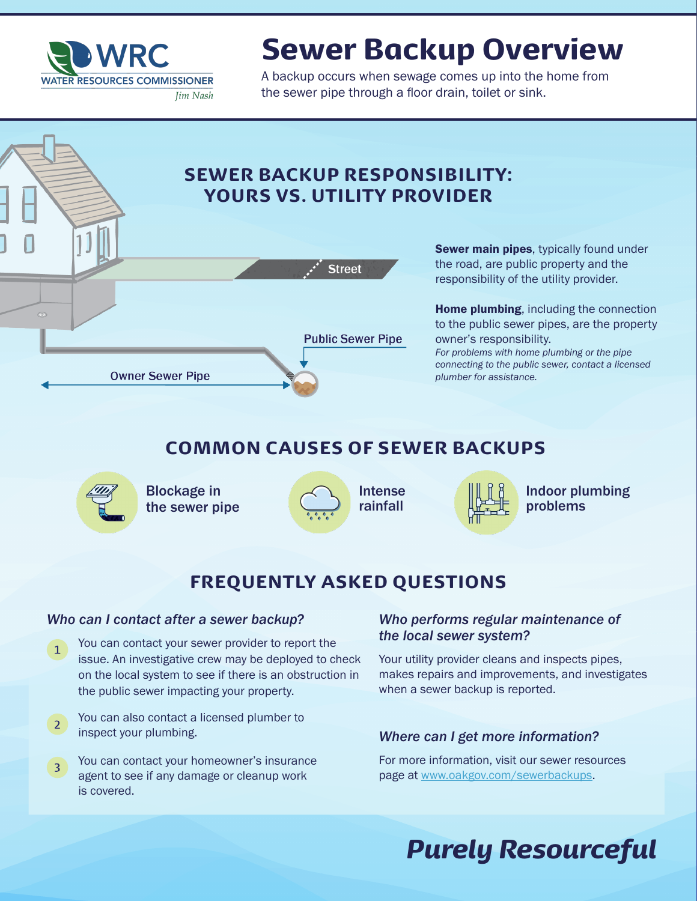

# Sewer Backup Overview

A backup occurs when sewage comes up into the home from the sewer pipe through a floor drain, toilet or sink.

#### SEWER BACKUP RESPONSIBILITY: YOURS VS. UTILITY PROVIDER



Sewer main pipes, typically found under the road, are public property and the responsibility of the utility provider.

**Home plumbing, including the connection** to the public sewer pipes, are the property owner's responsibility. *For problems with home plumbing or the pipe connecting to the public sewer, contact a licensed plumber for assistance.*

### COMMON CAUSES OF SEWER BACKUPS



Blockage in the sewer pipe





Indoor plumbing problems

#### FREQUENTLY ASKED QUESTIONS

#### *Who can I contact after a sewer backup?*

- You can contact your sewer provider to report the issue. An investigative crew may be deployed to check on the local system to see if there is an obstruction in the public sewer impacting your property. 1
- You can also contact a licensed plumber to inspect your plumbing.  $2<sup>1</sup>$
- You can contact your homeowner's insurance agent to see if any damage or cleanup work is covered. 3

#### *Who performs regular maintenance of the local sewer system?*

Your utility provider cleans and inspects pipes, makes repairs and improvements, and investigates when a sewer backup is reported.

#### *Where can I get more information?*

For more information, visit our sewer resources page at www.oakgov.com/sewerbackups.

## *Purely Resourceful*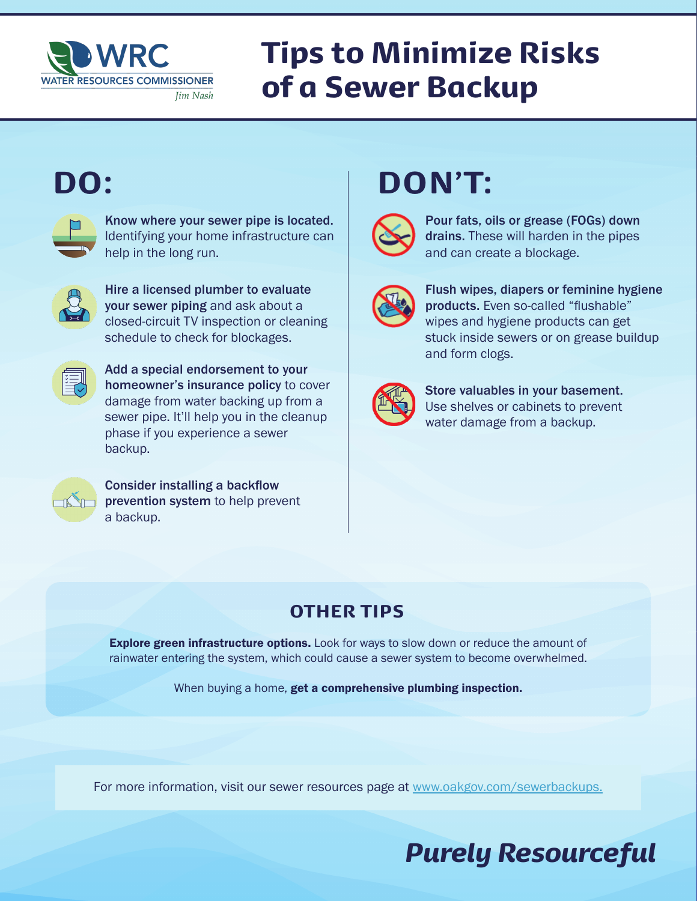

# Tips to Minimize Risks of a Sewer Backup



Know where your sewer pipe is located. Identifying your home infrastructure can help in the long run.



Hire a licensed plumber to evaluate your sewer piping and ask about a closed-circuit TV inspection or cleaning schedule to check for blockages.



Add a special endorsement to your homeowner's insurance policy to cover damage from water backing up from a sewer pipe. It'll help you in the cleanup phase if you experience a sewer backup.



Consider installing a backflow prevention system to help prevent a backup.

# DO: DON'T:



Pour fats, oils or grease (FOGs) down drains. These will harden in the pipes and can create a blockage.



Flush wipes, diapers or feminine hygiene products. Even so-called "flushable" wipes and hygiene products can get stuck inside sewers or on grease buildup and form clogs.



Store valuables in your basement. Use shelves or cabinets to prevent water damage from a backup.

#### OTHER TIPS

Explore green infrastructure options. Look for ways to slow down or reduce the amount of rainwater entering the system, which could cause a sewer system to become overwhelmed.

When buying a home, get a comprehensive plumbing inspection.

For more information, visit our sewer resources page at www.oakgov.com/sewerbackups.